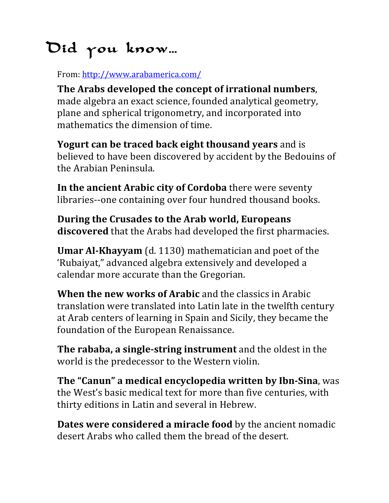## Did you know…

From: http://www.arabamerica.com/

The Arabs developed the concept of irrational numbers, made algebra an exact science, founded analytical geometry, plane and spherical trigonometry, and incorporated into mathematics the dimension of time.

**Yogurt can be traced back eight thousand vears** and is believed to have been discovered by accident by the Bedouins of the Arabian Peninsula.

**In the ancient Arabic city of Cordoba** there were seventy libraries--one containing over four hundred thousand books.

**During the Crusades to the Arab world, Europeans discovered** that the Arabs had developed the first pharmacies.

**Umar Al-Khayyam** (d. 1130) mathematician and poet of the 'Rubaiyat," advanced algebra extensively and developed a calendar more accurate than the Gregorian.

**When the new works of Arabic** and the classics in Arabic translation were translated into Latin late in the twelfth century at Arab centers of learning in Spain and Sicily, they became the foundation of the European Renaissance.

**The rababa, a single-string instrument** and the oldest in the world is the predecessor to the Western violin.

**The "Canun" a medical encyclopedia written by Ibn-Sina**, was the West's basic medical text for more than five centuries, with thirty editions in Latin and several in Hebrew.

**Dates were considered a miracle food** by the ancient nomadic desert Arabs who called them the bread of the desert.